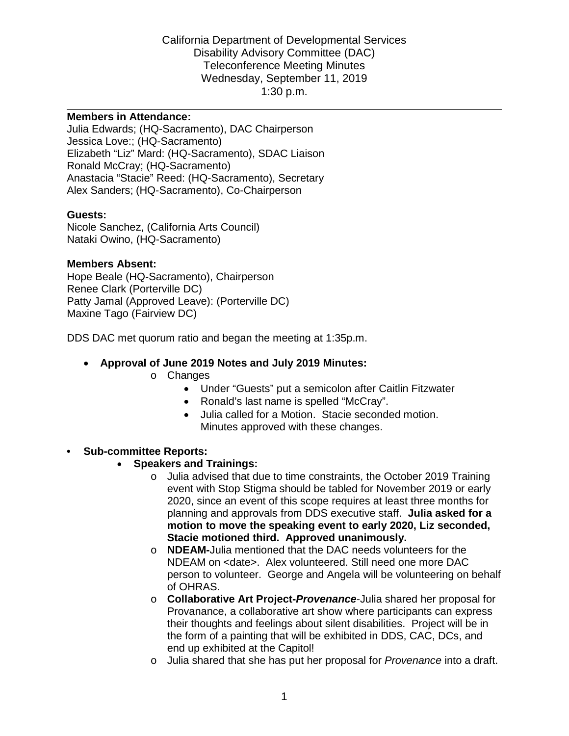#### **Members in Attendance:**

Julia Edwards; (HQ-Sacramento), DAC Chairperson Jessica Love:; (HQ-Sacramento) Elizabeth "Liz" Mard: (HQ-Sacramento), SDAC Liaison Ronald McCray; (HQ-Sacramento) Anastacia "Stacie" Reed: (HQ-Sacramento), Secretary Alex Sanders; (HQ-Sacramento), Co-Chairperson

#### **Guests:**

Nicole Sanchez, (California Arts Council) Nataki Owino, (HQ-Sacramento)

#### **Members Absent:**

Hope Beale (HQ-Sacramento), Chairperson Renee Clark (Porterville DC) Patty Jamal (Approved Leave): (Porterville DC) Maxine Tago (Fairview DC)

DDS DAC met quorum ratio and began the meeting at 1:35p.m.

#### • **Approval of June 2019 Notes and July 2019 Minutes:**

- o Changes
	- Under "Guests" put a semicolon after Caitlin Fitzwater
	- Ronald's last name is spelled "McCray".
	- Julia called for a Motion. Stacie seconded motion. Minutes approved with these changes.

#### **• Sub-committee Reports:**

- **Speakers and Trainings:** 
	- 2020, since an event of this scope requires at least three months for planning and approvals from DDS executive staff. **Julia asked for a**  o Julia advised that due to time constraints, the October 2019 Training event with Stop Stigma should be tabled for November 2019 or early **motion to move the speaking event to early 2020, Liz seconded, Stacie motioned third. Approved unanimously.**
	- NDEAM on <date>. Alex volunteered. Still need one more DAC o **NDEAM-**Julia mentioned that the DAC needs volunteers for the person to volunteer. George and Angela will be volunteering on behalf of OHRAS.
	- o **Collaborative Art Project-***Provenance*-Julia shared her proposal for Provanance, a collaborative art show where participants can express their thoughts and feelings about silent disabilities. Project will be in the form of a painting that will be exhibited in DDS, CAC, DCs, and end up exhibited at the Capitol!
	- o Julia shared that she has put her proposal for *Provenance* into a draft.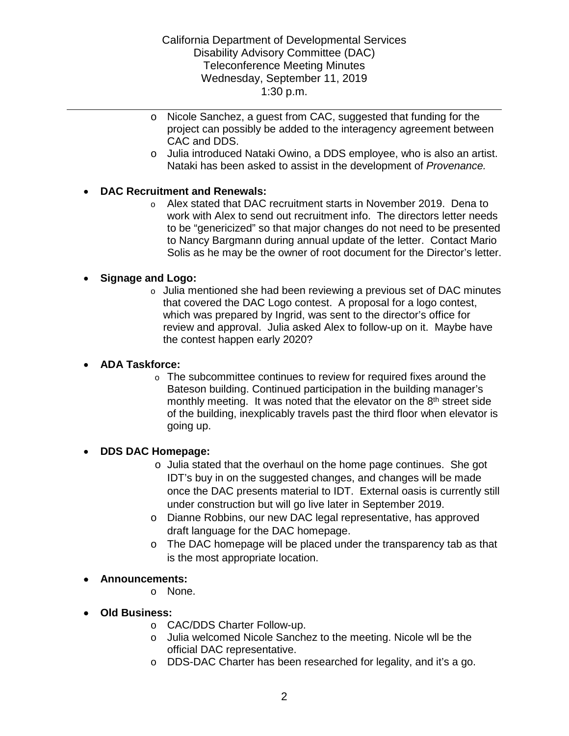- o Nicole Sanchez, a guest from CAC, suggested that funding for the project can possibly be added to the interagency agreement between CAC and DDS.
- <sup>o</sup>Julia introduced Nataki Owino, a DDS employee, who is also an artist. Nataki has been asked to assist in the development of *Provenance.*

# • **DAC Recruitment and Renewals:**

o Alex stated that DAC recruitment starts in November 2019. Dena to work with Alex to send out recruitment info. The directors letter needs to be "genericized" so that major changes do not need to be presented to Nancy Bargmann during annual update of the letter. Contact Mario Solis as he may be the owner of root document for the Director's letter.

### • **Signage and Logo:**

 $\circ$  Julia mentioned she had been reviewing a previous set of DAC minutes that covered the DAC Logo contest. A proposal for a logo contest, which was prepared by Ingrid, was sent to the director's office for review and approval. Julia asked Alex to follow-up on it. Maybe have the contest happen early 2020?

### • **ADA Taskforce:**

o The subcommittee continues to review for required fixes around the Bateson building. Continued participation in the building manager's monthly meeting. It was noted that the elevator on the 8<sup>th</sup> street side of the building, inexplicably travels past the third floor when elevator is going up.

### • **DDS DAC Homepage:**

- under construction but will go live later in September 2019. o Julia stated that the overhaul on the home page continues. She got IDT's buy in on the suggested changes, and changes will be made once the DAC presents material to IDT. External oasis is currently still
- o Dianne Robbins, our new DAC legal representative, has approved draft language for the DAC homepage.
- $\circ$  The DAC homepage will be placed under the transparency tab as that is the most appropriate location.

### • **Announcements:**

- o None.
- **Old Business:** 
	- o CAC/DDS Charter Follow-up.
	- o Julia welcomed Nicole Sanchez to the meeting. Nicole wll be the official DAC representative.
	- o DDS-DAC Charter has been researched for legality, and it's a go.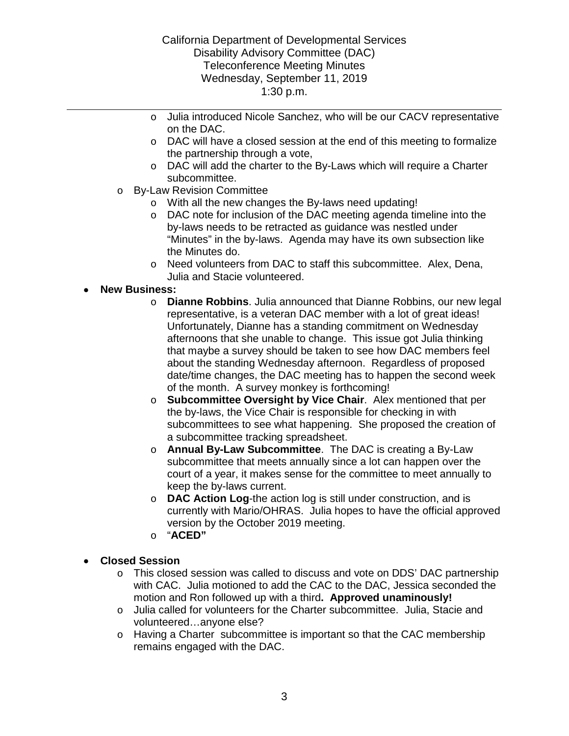- o Julia introduced Nicole Sanchez, who will be our CACV representative on the DAC.
- $\circ$  DAC will have a closed session at the end of this meeting to formalize the partnership through a vote,
- o DAC will add the charter to the By-Laws which will require a Charter subcommittee.
- o By-Law Revision Committee
	- With all the new changes the By-laws need updating!
	- o DAC note for inclusion of the DAC meeting agenda timeline into the by-laws needs to be retracted as guidance was nestled under "Minutes" in the by-laws. Agenda may have its own subsection like the Minutes do.
	- o Need volunteers from DAC to staff this subcommittee. Alex, Dena, Julia and Stacie volunteered.

# • **New Business:**

- o **Dianne Robbins**. Julia announced that Dianne Robbins, our new legal representative, is a veteran DAC member with a lot of great ideas! that maybe a survey should be taken to see how DAC members feel Unfortunately, Dianne has a standing commitment on Wednesday afternoons that she unable to change. This issue got Julia thinking about the standing Wednesday afternoon. Regardless of proposed date/time changes, the DAC meeting has to happen the second week of the month. A survey monkey is forthcoming!
- o **Subcommittee Oversight by Vice Chair**. Alex mentioned that per the by-laws, the Vice Chair is responsible for checking in with subcommittees to see what happening. She proposed the creation of a subcommittee tracking spreadsheet.
- o **Annual By-Law Subcommittee**. The DAC is creating a By-Law subcommittee that meets annually since a lot can happen over the court of a year, it makes sense for the committee to meet annually to keep the by-laws current.
- currently with Mario/OHRAS. Julia hopes to have the official approved o **DAC Action Log**-the action log is still under construction, and is version by the October 2019 meeting.
- o "**ACED"**

# • **Closed Session**

- with CAC. Julia motioned to add the CAC to the DAC, Jessica seconded the  motion and Ron followed up with a third**. Approved unaminously!**  o This closed session was called to discuss and vote on DDS' DAC partnership
- o Julia called for volunteers for the Charter subcommittee. Julia, Stacie and volunteered…anyone else?
- o Having a Charter subcommittee is important so that the CAC membership remains engaged with the DAC.